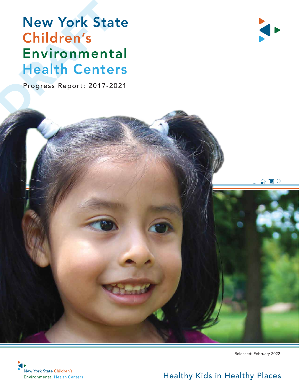## **New York Sta<br>Children's<br>Environment<br>Health Cente**<br>Progress Report: 2017-20 New York State Children's Environmental Health Centers

Progress Report: 2017-2021







Released: February 2022

#### Healthy Kids in Healthy Places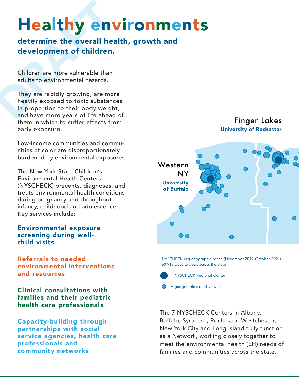### Healthy environments

determine the overall health, growth and development of children.

Children are more vulnerable than adults to environmental hazards.

**Calt by CA**<br> **determine the overall head overall for the set of children.**<br>
Children are more vulnerable than<br>
adults to environmental hazards.<br>
They are rapidly growing, are mon<br>
heavily exposed to toxic substance in pro They are rapidly growing, are more heavily exposed to toxic substances in proportion to their body weight, and have more years of life ahead of them in which to suffer effects from early exposure.

> Low-income communities and communities of color are disproportionately burdened by environmental exposures.

> The New York State Children's Environmental Health Centers (NYSCHECK) prevents, diagnoses, and treats environmental health conditions during pregnancy and throughout infancy, childhood and adolescence. Key services include:

Environmental exposure screening during wellchild visits

Referrals to needed environmental interventions and resources

Clinical consultations with families and their pediatric health care professionals

Capacity-building through partnerships with social service agencies, health care professionals and community networks



NYSCHECK.org geographic reach (November 2017-October 2021) 60,913 website views across the state

- = NYSCHECK Regional Center
- = geographic site of viewer

The 7 NYSCHECK Centers in Albany, Buffalo, Syracuse, Rochester, Westchester, New York City and Long Island truly function as a Network, working closely together to meet the environmental health (EH) needs of families and communities across the state.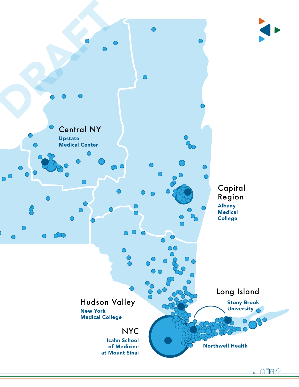

 $\mathbb{R}^n$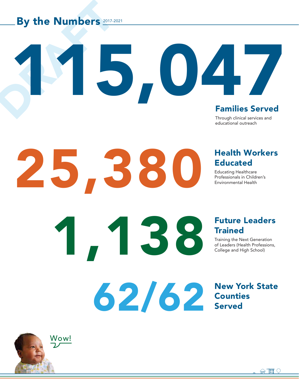# By the Numbers 2017-2 By the Numbers 2017-2021

25,380

1,138

62/62

#### Families Served

Through clinical services and educational outreach

115,047

#### Health Workers Educated

Educating Healthcare Professionals in Children's Environmental Health

#### Future Leaders **Trained**

Training the Next Generation of Leaders (Health Professions, College and High School)

#### New York State **Counties** Served



 $\widehat{m}$  and  $\widehat{M}$